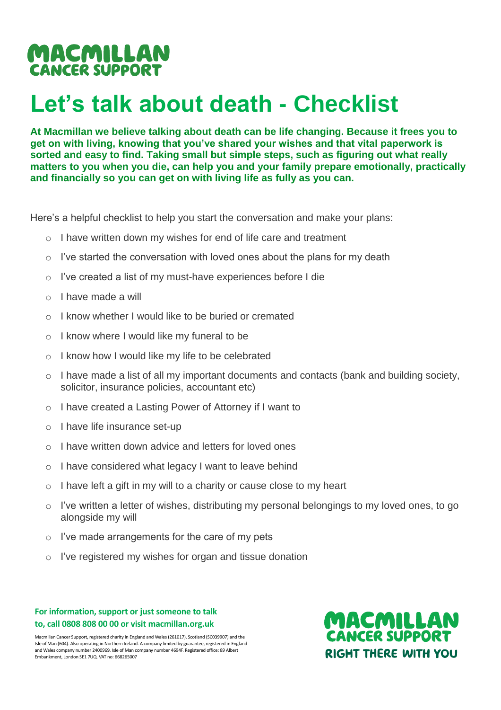## MACMILLAN **CANCER SUPPORT**

# **Let's talk about death - Checklist**

**At Macmillan we believe talking about death can be life changing. Because it frees you to get on with living, knowing that you've shared your wishes and that vital paperwork is sorted and easy to find. Taking small but simple steps, such as figuring out what really matters to you when you die, can help you and your family prepare emotionally, practically and financially so you can get on with living life as fully as you can.** 

Here's a helpful checklist to help you start the conversation and make your plans:

- o I have written down my wishes for end of life care and treatment
- o I've started the conversation with loved ones about the plans for my death
- o I've created a list of my must-have experiences before I die
- o I have made a will
- o I know whether I would like to be buried or cremated
- o I know where I would like my funeral to be
- o I know how I would like my life to be celebrated
- $\circ$  I have made a list of all my important documents and contacts (bank and building society, solicitor, insurance policies, accountant etc)
- o I have created a Lasting Power of Attorney if I want to
- o I have life insurance set-up
- o I have written down advice and letters for loved ones
- o I have considered what legacy I want to leave behind
- $\circ$  I have left a gift in my will to a charity or cause close to my heart
- I've written a letter of wishes, distributing my personal belongings to my loved ones, to go alongside my will
- o I've made arrangements for the care of my pets
- o I've registered my wishes for organ and tissue donation

#### **For information, support or just someone to talk to, call 0808 808 00 00 or visit macmillan.org.uk**

Macmillan Cancer Support, registered charity in England and Wales (261017), Scotland (SC039907) and the Isle of Man (604). Also operating in Northern Ireland. A company limited by guarantee, registered in England and Wales company number 2400969. Isle of Man company number 4694F. Registered office: 89 Albert Embankment, London SE1 7UQ. VAT no: 668265007